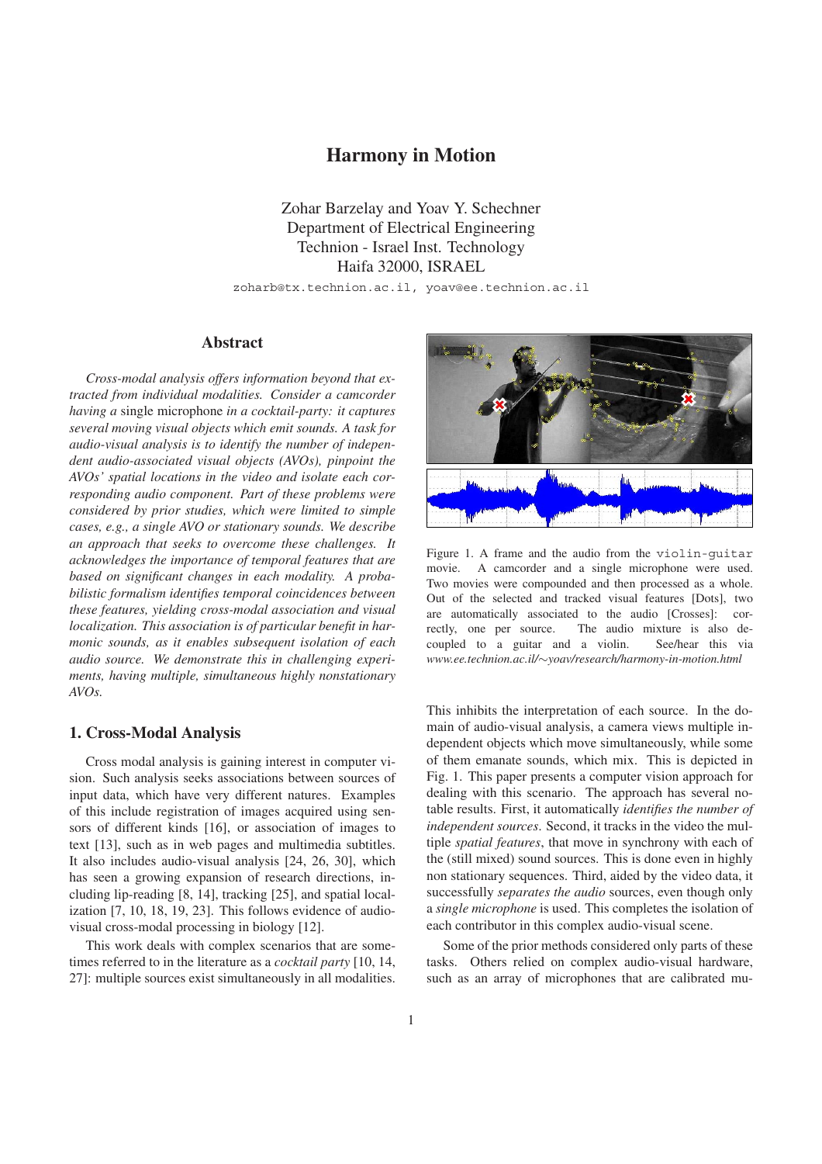# **Harmony in Motion**

Zohar Barzelay and Yoav Y. Schechner Department of Electrical Engineering Technion - Israel Inst. Technology Haifa 32000, ISRAEL

zoharb@tx.technion.ac.il, yoav@ee.technion.ac.il

# **Abstract**

*Cross-modal analysis offers information beyond that extracted from individual modalities. Consider a camcorder having a* single microphone *in a cocktail-party: it captures several moving visual objects which emit sounds. A task for audio-visual analysis is to identify the number of independent audio-associated visual objects (AVOs), pinpoint the AVOs' spatial locations in the video and isolate each corresponding audio component. Part of these problems were considered by prior studies, which were limited to simple cases, e.g., a single AVO or stationary sounds. We describe an approach that seeks to overcome these challenges. It acknowledges the importance of temporal features that are based on significant changes in each modality. A probabilistic formalism identifies temporal coincidences between these features, yielding cross-modal association and visual localization. This association is of particular benefit in harmonic sounds, as it enables subsequent isolation of each audio source. We demonstrate this in challenging experiments, having multiple, simultaneous highly nonstationary AVOs.*

# **1. Cross-Modal Analysis**

Cross modal analysis is gaining interest in computer vision. Such analysis seeks associations between sources of input data, which have very different natures. Examples of this include registration of images acquired using sensors of different kinds [16], or association of images to text [13], such as in web pages and multimedia subtitles. It also includes audio-visual analysis [24, 26, 30], which has seen a growing expansion of research directions, including lip-reading [8, 14], tracking [25], and spatial localization [7, 10, 18, 19, 23]. This follows evidence of audiovisual cross-modal processing in biology [12].

This work deals with complex scenarios that are sometimes referred to in the literature as a *cocktail party* [10, 14, 27]: multiple sources exist simultaneously in all modalities.



Figure 1. A frame and the audio from the violin-guitar movie. A camcorder and a single microphone were used. Two movies were compounded and then processed as a whole. Out of the selected and tracked visual features [Dots], two are automatically associated to the audio [Crosses]: correctly, one per source. The audio mixture is also decoupled to a guitar and a violin. See/hear this via *www.ee.technion.ac.il/*∼*yoav/research/harmony-in-motion.html*

This inhibits the interpretation of each source. In the domain of audio-visual analysis, a camera views multiple independent objects which move simultaneously, while some of them emanate sounds, which mix. This is depicted in Fig. 1. This paper presents a computer vision approach for dealing with this scenario. The approach has several notable results. First, it automatically *identifies the number of independent sources*. Second, it tracks in the video the multiple *spatial features*, that move in synchrony with each of the (still mixed) sound sources. This is done even in highly non stationary sequences. Third, aided by the video data, it successfully *separates the audio* sources, even though only a *single microphone* is used. This completes the isolation of each contributor in this complex audio-visual scene.

Some of the prior methods considered only parts of these tasks. Others relied on complex audio-visual hardware, such as an array of microphones that are calibrated mu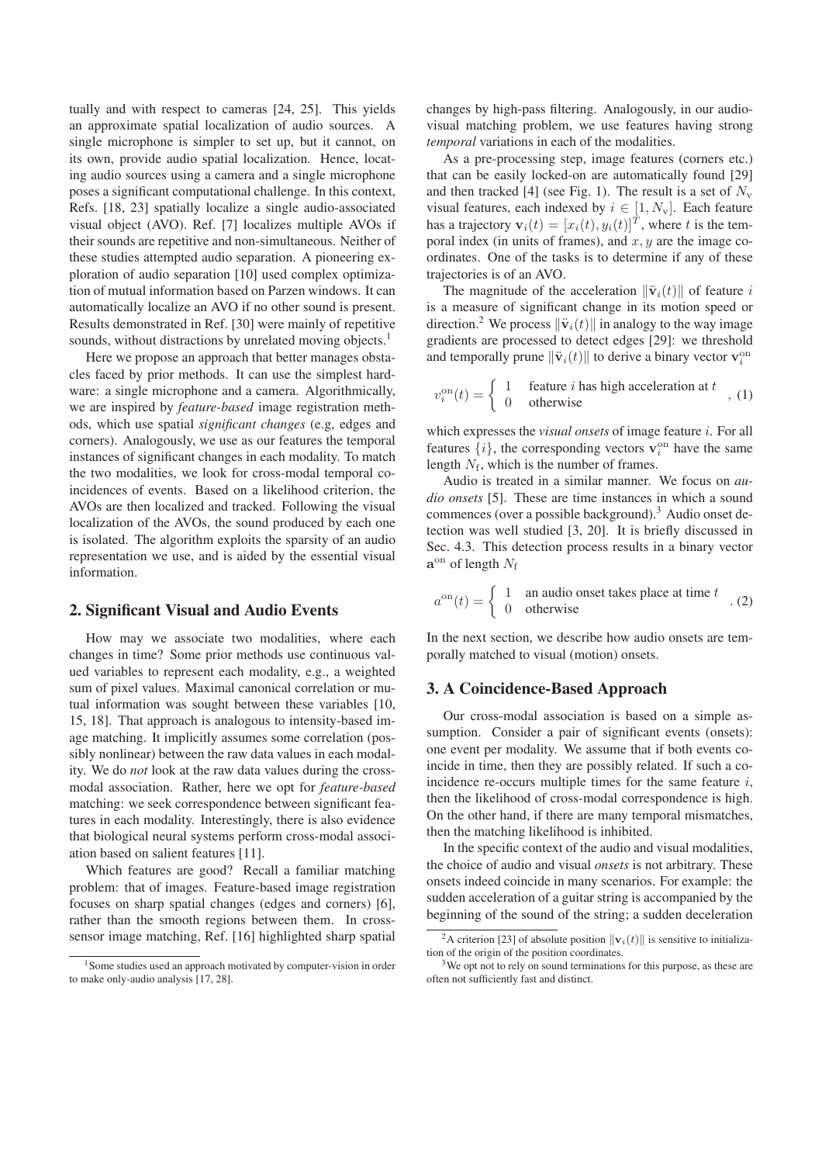tually and with respect to cameras [24, 25]. This yields an approximate spatial localization of audio sources. A single microphone is simpler to set up, but it cannot, on its own, provide audio spatial localization. Hence, locating audio sources using a camera and a single microphone poses a significant computational challenge. In this context, Refs. [18, 23] spatially localize a single audio-associated visual object (AVO). Ref. [7] localizes multiple AVOs if their sounds are repetitive and non-simultaneous. Neither of these studies attempted audio separation. A pioneering exploration of audio separation [10] used complex optimization of mutual information based on Parzen windows. It can automatically localize an AVO if no other sound is present. Results demonstrated in Ref. [30] were mainly of repetitive sounds, without distractions by unrelated moving objects.<sup>1</sup>

Here we propose an approach that better manages obstacles faced by prior methods. It can use the simplest hardware: a single microphone and a camera. Algorithmically, we are inspired by *feature-based* image registration methods, which use spatial *significant changes* (e.g, edges and corners). Analogously, we use as our features the temporal instances of significant changes in each modality. To match the two modalities, we look for cross-modal temporal coincidences of events. Based on a likelihood criterion, the AVOs are then localized and tracked. Following the visual localization of the AVOs, the sound produced by each one is isolated. The algorithm exploits the sparsity of an audio representation we use, and is aided by the essential visual information.

### **2. Significant Visual and Audio Events**

How may we associate two modalities, where each changes in time? Some prior methods use continuous valued variables to represent each modality, e.g., a weighted sum of pixel values. Maximal canonical correlation or mutual information was sought between these variables [10, 15, 18]. That approach is analogous to intensity-based image matching. It implicitly assumes some correlation (possibly nonlinear) between the raw data values in each modality. We do *not* look at the raw data values during the crossmodal association. Rather, here we opt for *feature-based* matching: we seek correspondence between significant features in each modality. Interestingly, there is also evidence that biological neural systems perform cross-modal association based on salient features [11].

Which features are good? Recall a familiar matching problem: that of images. Feature-based image registration focuses on sharp spatial changes (edges and corners) [6], rather than the smooth regions between them. In crosssensor image matching, Ref. [16] highlighted sharp spatial

changes by high-pass filtering. Analogously, in our audiovisual matching problem, we use features having strong *temporal* variations in each of the modalities.

As a pre-processing step, image features (corners etc.) that can be easily locked-on are automatically found [29] and then tracked [4] (see Fig. 1). The result is a set of  $N_v$ visual features, each indexed by  $i \in [1, N_v]$ . Each feature<br>has a trajectory  $y_i(t) = [x_i(t), y_i(t)]^T$ , where t is the temhas a trajectory  $\mathbf{v}_i(t) = [x_i(t), y_i(t)]^T$ , where *t* is the tem-<br>poral index (in units of frames) and x u are the image coporal index (in units of frames), and *x, y* are the image coordinates. One of the tasks is to determine if any of these trajectories is of an AVO.

The magnitude of the acceleration  $\|\vec{v}_i(t)\|$  of feature *i*<br>a measure of significant change in its motion speed or is a measure of significant change in its motion speed or direction.<sup>2</sup> We process  $\|\ddot{\mathbf{v}}_i(t)\|$  in analogy to the way image<br>gradients are processed to detect edges [29]; we threshold gradients are processed to detect edges [29]: we threshold and temporally prune  $\|\ddot{\mathbf{v}}_i(t)\|$  to derive a binary vector  $\mathbf{v}_i^{\text{on}}$ 

$$
v_i^{\text{on}}(t) = \begin{cases} 1 & \text{feature } i \text{ has high acceleration at } t \\ 0 & \text{otherwise} \end{cases}, (1)
$$

which expresses the *visual onsets* of image feature *i*. For all features  $\{i\}$ , the corresponding vectors  $\mathbf{v}_i^{\text{on}}$  have the same length  $N_f$ , which is the number of frames.

Audio is treated in a similar manner. We focus on *audio onsets* [5]. These are time instances in which a sound commences (over a possible background).3 Audio onset detection was well studied [3, 20]. It is briefly discussed in Sec. 4.3. This detection process results in a binary vector **a**on of length *N*<sup>f</sup>

$$
a^{\text{on}}(t) = \begin{cases} 1 & \text{an audio onset takes place at time } t \\ 0 & \text{otherwise} \end{cases}
$$
 (2)

In the next section, we describe how audio onsets are temporally matched to visual (motion) onsets.

## **3. A Coincidence-Based Approach**

Our cross-modal association is based on a simple assumption. Consider a pair of significant events (onsets): one event per modality. We assume that if both events coincide in time, then they are possibly related. If such a coincidence re-occurs multiple times for the same feature *i*, then the likelihood of cross-modal correspondence is high. On the other hand, if there are many temporal mismatches, then the matching likelihood is inhibited.

In the specific context of the audio and visual modalities, the choice of audio and visual *onsets* is not arbitrary. These onsets indeed coincide in many scenarios. For example: the sudden acceleration of a guitar string is accompanied by the beginning of the sound of the string; a sudden deceleration

<sup>&</sup>lt;sup>1</sup>Some studies used an approach motivated by computer-vision in order to make only-audio analysis [17, 28].

<sup>&</sup>lt;sup>2</sup>A criterion [23] of absolute position  $\|\mathbf{v}_i(t)\|$  is sensitive to initialization of the origin of the position coordinates.

<sup>&</sup>lt;sup>3</sup>We opt not to rely on sound terminations for this purpose, as these are often not sufficiently fast and distinct.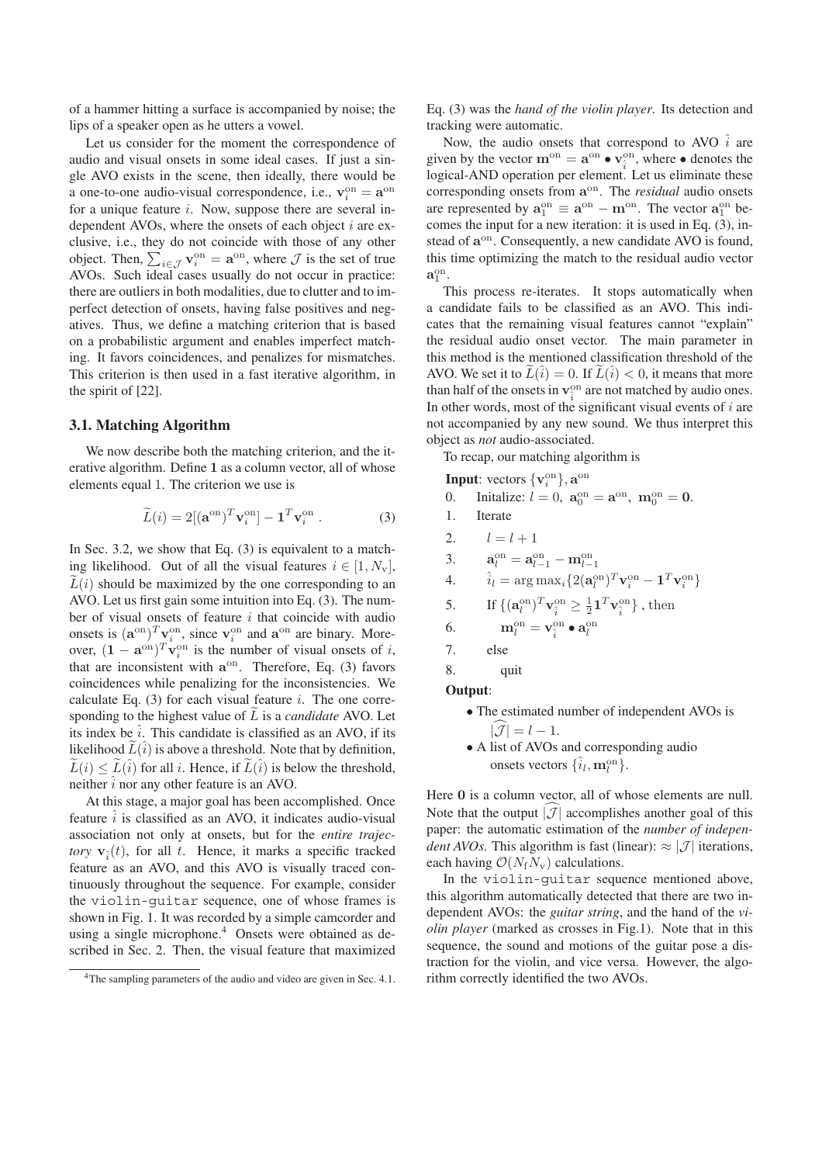of a hammer hitting a surface is accompanied by noise; the lips of a speaker open as he utters a vowel.

Let us consider for the moment the correspondence of audio and visual onsets in some ideal cases. If just a single AVO exists in the scene, then ideally, there would be a one-to-one audio-visual correspondence, i.e.,  $\mathbf{v}_i^{\text{on}} = \mathbf{a}^{\text{on}}$ <br>for a unique feature *i*. Now, suppose there are several infor a unique feature *i*. Now, suppose there are several independent AVOs, where the onsets of each object *i* are exclusive, i.e., they do not coincide with those of any other object. Then,  $\sum_{i \in \mathcal{J}} \mathbf{v}_i^{on} = \mathbf{a}^{on}$ , where  $\mathcal{J}$  is the set of true AVOs. Such ideal cases usually do not occur in practice: AVOs. Such ideal cases usually do not occur in practice: there are outliers in both modalities, due to clutter and to imperfect detection of onsets, having false positives and negatives. Thus, we define a matching criterion that is based on a probabilistic argument and enables imperfect matching. It favors coincidences, and penalizes for mismatches. This criterion is then used in a fast iterative algorithm, in the spirit of [22].

#### **3.1. Matching Algorithm**

We now describe both the matching criterion, and the iterative algorithm. Define **1** as a column vector, all of whose elements equal 1. The criterion we use is

$$
\widetilde{L}(i) = 2[(\mathbf{a}^{\text{on}})^T \mathbf{v}_i^{\text{on}}] - \mathbf{1}^T \mathbf{v}_i^{\text{on}}.
$$
 (3)

In Sec. 3.2, we show that Eq. (3) is equivalent to a matching likelihood. Out of all the visual features  $i \in [1, N_{\rm v}]$ ,  $L(i)$  should be maximized by the one corresponding to an AVO. Let us first gain some intuition into Eq. (3). The number of visual onsets of feature *i* that coincide with audio onsets is  $(\mathbf{a}^{\text{on}})^T \mathbf{v}_i^{\text{on}}$ , since  $\mathbf{v}_i^{\text{on}}$  and  $\mathbf{a}^{\text{on}}$  are binary. More-<br>over  $(1 - \mathbf{a}^{\text{on}})^T \mathbf{v}_i^{\text{on}}$  is the number of visual onsets of *i* over,  $(1 - a^{\text{on}})^T v_i^{\text{on}}$  is the number of visual onsets of *i*, that are inconsistent with  $a^{\text{on}}$ . Therefore, Eq. (3) favors that are inconsistent with **a**on. Therefore, Eq. (3) favors coincidences while penalizing for the inconsistencies. We calculate Eq. (3) for each visual feature *i*. The one corresponding to the highest value of *L* is a *candidate* AVO. Let its index be  $\hat{i}$ . This candidate is classified as an AVO, if its likelihood  $\tilde{L}(\hat{i})$  is above a threshold. Note that by definition,  $\widetilde{L}(i) \leq \widetilde{L}(i)$  for all *i*. Hence, if  $\widetilde{L}(i)$  is below the threshold, neither  $\hat{i}$  nor any other feature is an AVO.

At this stage, a major goal has been accomplished. Once feature  $\hat{i}$  is classified as an AVO, it indicates audio-visual association not only at onsets, but for the *entire trajectory*  $\mathbf{v}_i(t)$ , for all *t*. Hence, it marks a specific tracked feature as an AVO, and this AVO is visually traced continuously throughout the sequence. For example, consider the violin-guitar sequence, one of whose frames is shown in Fig. 1. It was recorded by a simple camcorder and using a single microphone.<sup>4</sup> Onsets were obtained as described in Sec. 2. Then, the visual feature that maximized Eq. (3) was the *hand of the violin player*. Its detection and tracking were automatic.

Now, the audio onsets that correspond to AVO  $\hat{i}$  are given by the vector  $\mathbf{m}^{\text{on}} = \mathbf{a}^{\text{on}} \bullet \mathbf{v}_{\hat{i}}^{\text{on}},$  where  $\bullet$  denotes the logical AND operation per element. Let us eliminate these logical-AND operation per element. Let us eliminate these corresponding onsets from **a**on. The *residual* audio onsets are represented by  $\mathbf{a}_1^{\text{on}} \equiv \mathbf{a}^{\text{on}} - \mathbf{m}^{\text{on}}$ . The vector  $\mathbf{a}_1^{\text{on}}$  becomes the input for a new iteration: it is used in Eq. (3), instead of **a**on. Consequently, a new candidate AVO is found, this time optimizing the match to the residual audio vector  $a_1^{\text{on}}$ .

This process re-iterates. It stops automatically when a candidate fails to be classified as an AVO. This indicates that the remaining visual features cannot "explain" the residual audio onset vector. The main parameter in this method is the mentioned classification threshold of the AVO. We set it to  $\tilde{L}(\hat{i})=0$ . If  $\tilde{L}(\hat{i})<0$ , it means that more than half of the onsets in  $\mathbf{v}_i^{\text{on}}$  are not matched by audio ones. In other words, most of the significant visual events of *i* are not accompanied by any new sound. We thus interpret this object as *not* audio-associated.

To recap, our matching algorithm is

**Input**: vectors  $\{v_i^{\text{on}}\}, \mathbf{a}^{\text{on}}$ 

- 0. Initalize:  $l = 0$ ,  $\mathbf{a}_0^{\text{on}} = \mathbf{a}^{\text{on}}$ ,  $\mathbf{m}_0^{\text{on}} = \mathbf{0}$ .
- 1. Iterate
- 2.  $l = l + 1$ <br>3.  ${\bf a}_{i}^{\text{on}} = {\bf a}_{i}^{\text{o}}$
- 3.  $\mathbf{a}_{l}^{\text{on}} = \mathbf{a}_{l-1}^{\text{on}} \mathbf{m}_{l-1}^{\text{on}}$
- 4.  $\hat{i}_l = \arg \max_i \{ 2(\mathbf{a}_l^{\text{on}})^T \mathbf{v}_i^{\text{on}} \mathbf{1}^T \mathbf{v}_i^{\text{on}} \}$
- 5. If  $\{(\mathbf{a}_l^{\text{on}})^T \mathbf{v}_i^{\text{on}} \geq \frac{1}{2} \mathbf{1}^T \mathbf{v}_i^{\text{on}}\}\$ , then
- 6.  $\mathbf{m}_l^{\text{on}} = \mathbf{v}_i^{\text{on}} \bullet \mathbf{a}_l^{\text{on}}$
- 7. else
- 8. quit

**Output**:

- The estimated number of independent AVOs is  $|J| = l - 1.$
- A list of AVOs and corresponding audio onsets vectors  $\{\hat{i}_l, \mathbf{m}_l^{\text{on}}\}.$

Here **0** is a column vector, all of whose elements are null. Note that the output  $|\mathcal{J}|$  accomplishes another goal of this paper: the automatic estimation of the *number of independent AVOs*. This algorithm is fast (linear):  $\approx |\mathcal{J}|$  iterations, each having  $\mathcal{O}(N_fN_v)$  calculations.

In the violin-guitar sequence mentioned above, this algorithm automatically detected that there are two independent AVOs: the *guitar string*, and the hand of the *violin player* (marked as crosses in Fig.1). Note that in this sequence, the sound and motions of the guitar pose a distraction for the violin, and vice versa. However, the algorithm correctly identified the two AVOs.

<sup>&</sup>lt;sup>4</sup>The sampling parameters of the audio and video are given in Sec. 4.1.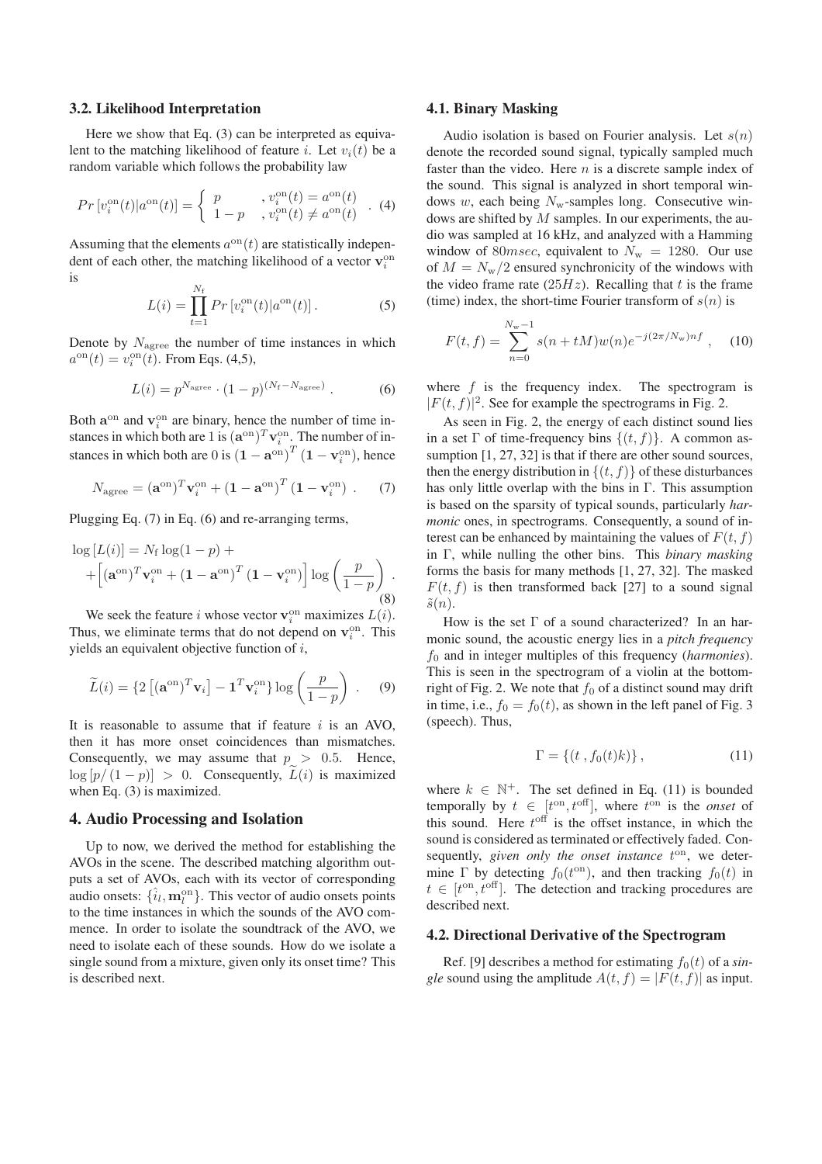#### **3.2. Likelihood Interpretation**

Here we show that Eq. (3) can be interpreted as equivalent to the matching likelihood of feature *i*. Let  $v_i(t)$  be a random variable which follows the probability law

$$
Pr[v_i^{\text{on}}(t)|a^{\text{on}}(t)] = \begin{cases} p, & v_i^{\text{on}}(t) = a^{\text{on}}(t) \\ 1 - p, & v_i^{\text{on}}(t) \neq a^{\text{on}}(t) \end{cases} . (4)
$$

Assuming that the elements  $a^{\text{on}}(t)$  are statistically independent of each other, the matching likelihood of a vector  $\mathbf{v}_i^{\text{on}}$ is

$$
L(i) = \prod_{t=1}^{N_{\rm f}} Pr\left[v_i^{\rm on}(t)|a^{\rm on}(t)\right].
$$
 (5)

Denote by  $N_{\text{agree}}$  the number of time instances in which  $a^{\text{on}}(t) = v_i^{\text{on}}(t)$ . From Eqs. (4,5),

$$
L(i) = p^{N_{\text{agree}}} \cdot (1 - p)^{(N_f - N_{\text{agree}})} \,. \tag{6}
$$

Both  $\mathbf{a}^{\text{on}}$  and  $\mathbf{v}_i^{\text{on}}$  are binary, hence the number of time instances in which both are 1 is  $(\mathbf{a}^{\text{on}})^T \mathbf{v}_i^{\text{on}}$ . The number of in-<br>stances in which both are 0 is  $(1 - \mathbf{v}_i^{\text{on}})^T (1 - \mathbf{v}_i^{\text{on}})$  hance stances in which both are 0 is  $(1 - \mathbf{a}^{\text{on}})^T (1 - \mathbf{v}_i^{\text{on}})$ , hence

$$
N_{\text{agree}} = (\mathbf{a}^{\text{on}})^T \mathbf{v}_i^{\text{on}} + (1 - \mathbf{a}^{\text{on}})^T (1 - \mathbf{v}_i^{\text{on}}) \ . \tag{7}
$$

Plugging Eq. (7) in Eq. (6) and re-arranging terms,

$$
\log [L(i)] = N_f \log(1 - p) +
$$
  
+ 
$$
\left[ (\mathbf{a}^{\text{on}})^T \mathbf{v}_i^{\text{on}} + (\mathbf{1} - \mathbf{a}^{\text{on}})^T (\mathbf{1} - \mathbf{v}_i^{\text{on}}) \right] \log \left( \frac{p}{1 - p} \right).
$$
 (8)

We seek the feature *i* whose vector  $\mathbf{v}_i^{\text{on}}$  maximizes  $L(i)$ .<br>we eliminate terms that do not depend on  $\mathbf{v}_i^{\text{on}}$ . This Thus, we eliminate terms that do not depend on  $v_i^{\text{on}}$ . This yields an equivalent objective function of *i*,

$$
\widetilde{L}(i) = \left\{ 2 \left[ (\mathbf{a}^{\text{on}})^T \mathbf{v}_i \right] - \mathbf{1}^T \mathbf{v}_i^{\text{on}} \right\} \log \left( \frac{p}{1-p} \right) . \tag{9}
$$

It is reasonable to assume that if feature *i* is an AVO, then it has more onset coincidences than mismatches. Consequently, we may assume that  $p > 0.5$ . Hence,  $\log [p/(1-p)] > 0$ . Consequently,  $L(i)$  is maximized when Eq. (3) is maximized.

#### **4. Audio Processing and Isolation**

Up to now, we derived the method for establishing the AVOs in the scene. The described matching algorithm outputs a set of AVOs, each with its vector of corresponding audio onsets:  $\{\hat{i}_l, m_l^{\text{on}}\}$ . This vector of audio onsets points to the time instances in which the sounds of the AVO commence. In order to isolate the soundtrack of the AVO, we need to isolate each of these sounds. How do we isolate a single sound from a mixture, given only its onset time? This is described next.

#### **4.1. Binary Masking**

Audio isolation is based on Fourier analysis. Let *<sup>s</sup>*(*n*) denote the recorded sound signal, typically sampled much faster than the video. Here *n* is a discrete sample index of the sound. This signal is analyzed in short temporal windows *w*, each being *N*w-samples long. Consecutive windows are shifted by *M* samples. In our experiments, the audio was sampled at 16 kHz, and analyzed with a Hamming window of 80*msec*, equivalent to  $N_w = 1280$ . Our use of  $M = N_{\rm w}/2$  ensured synchronicity of the windows with the video frame rate  $(25Hz)$ . Recalling that *t* is the frame (time) index, the short-time Fourier transform of *<sup>s</sup>*(*n*) is

$$
F(t,f) = \sum_{n=0}^{N_{\rm w}-1} s(n+tM)w(n)e^{-j(2\pi/N_{\rm w})nf}, \quad (10)
$$

where  $f$  is the frequency index. The spectrogram is  $|F(t, f)|^2$ . See for example the spectrograms in Fig. 2.<br>As soon in Fig. 2, the spectro of each distinct sound

As seen in Fig. 2, the energy of each distinct sound lies in a set Γ of time-frequency bins {(*t, f*)}. A common assumption [1, 27, 32] is that if there are other sound sources, then the energy distribution in  $\{(t, f)\}\$  of these disturbances has only little overlap with the bins in  $\Gamma$ . This assumption is based on the sparsity of typical sounds, particularly *harmonic* ones, in spectrograms. Consequently, a sound of interest can be enhanced by maintaining the values of  $F(t, f)$ in Γ, while nulling the other bins. This *binary masking* forms the basis for many methods [1, 27, 32]. The masked  $F(t, f)$  is then transformed back [27] to a sound signal  $\tilde{s}(n)$ .

How is the set  $\Gamma$  of a sound characterized? In an harmonic sound, the acoustic energy lies in a *pitch frequency f*<sup>0</sup> and in integer multiples of this frequency (*harmonies*). This is seen in the spectrogram of a violin at the bottomright of Fig. 2. We note that  $f_0$  of a distinct sound may drift in time, i.e.,  $f_0 = f_0(t)$ , as shown in the left panel of Fig. 3 (speech). Thus,

$$
\Gamma = \{(t, f_0(t)k)\},\tag{11}
$$

where  $k \in \mathbb{N}^+$ . The set defined in Eq. (11) is bounded temporally by  $t \in [t^{\text{on}}, t^{\text{off}}]$ , where  $t^{\text{on}}$  is the *onset* of this sound. Here  $t^{\text{off}}$  is the offset instance in which the this sound. Here  $t<sup>off</sup>$  is the offset instance, in which the sound is considered as terminated or effectively faded. Consequently, given only the onset instance ton, we determine Γ by detecting  $f_0(t^{\text{on}})$ , and then tracking  $f_0(t)$  in<br> $t \in [t^{\text{on}} t^{\text{off}}]$ . The detection and tracking procedures are  $t \in [t^{\text{on}}, t^{\text{off}}]$ . The detection and tracking procedures are described next. described next.

#### **4.2. Directional Derivative of the Spectrogram**

Ref. [9] describes a method for estimating  $f_0(t)$  of a *single* sound using the amplitude  $A(t, f) = |F(t, f)|$  as input.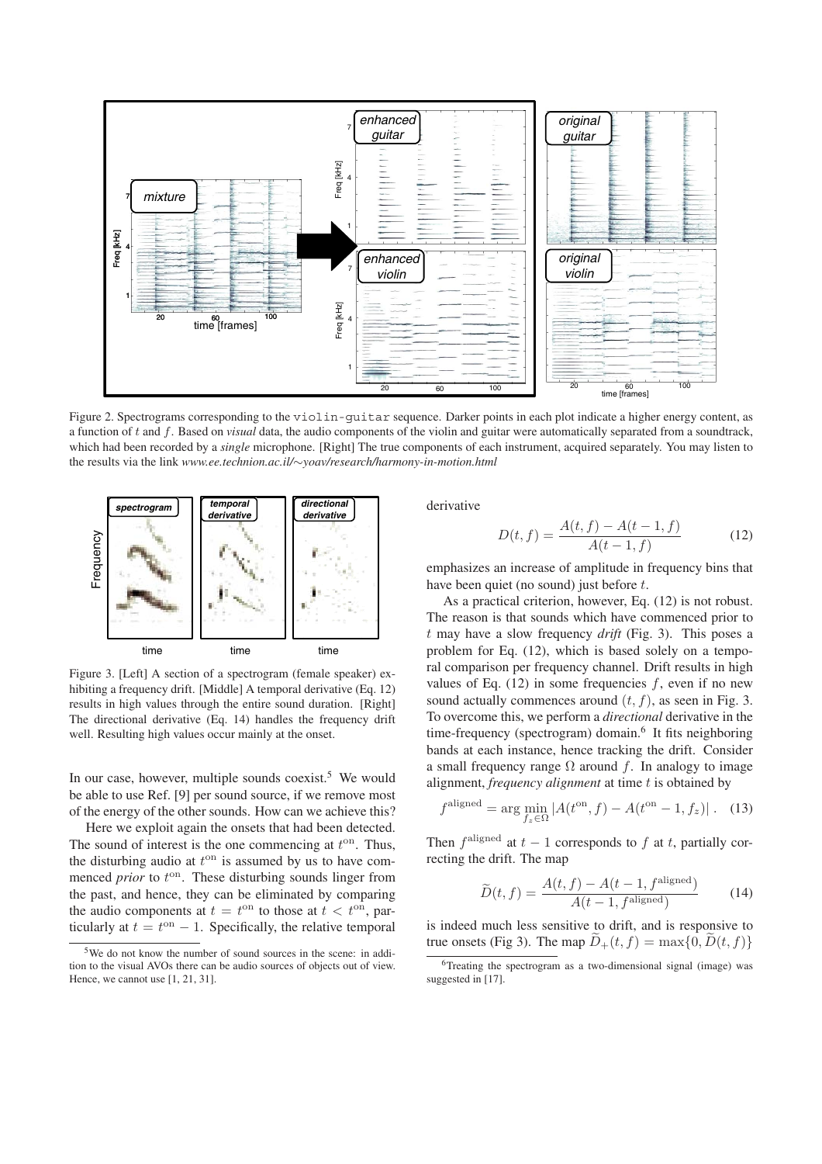

Figure 2. Spectrograms corresponding to the violin-guitar sequence. Darker points in each plot indicate a higher energy content, as a function of *t* and *f*. Based on *visual* data, the audio components of the violin and guitar were automatically separated from a soundtrack, which had been recorded by a *single* microphone. [Right] The true components of each instrument, acquired separately. You may listen to the results via the link *www.ee.technion.ac.il/*∼*yoav/research/harmony-in-motion.html*



Figure 3. [Left] A section of a spectrogram (female speaker) exhibiting a frequency drift. [Middle] A temporal derivative (Eq. 12) results in high values through the entire sound duration. [Right] The directional derivative (Eq. 14) handles the frequency drift well. Resulting high values occur mainly at the onset.

In our case, however, multiple sounds coexist.<sup>5</sup> We would be able to use Ref. [9] per sound source, if we remove most of the energy of the other sounds. How can we achieve this?

Here we exploit again the onsets that had been detected. The sound of interest is the one commencing at  $t^{\text{on}}$ . Thus, the disturbing audio at  $t^{\text{on}}$  is assumed by us to have commenced *prior* to  $t^{\text{on}}$ . These disturbing sounds linger from the past, and hence, they can be eliminated by comparing the audio components at  $t = t^{\text{on}}$  to those at  $t < t^{\text{on}}$ , par-<br>ticularly at  $t - t^{\text{on}} - 1$ . Specifically, the relative temporal ticularly at  $t = t^{\text{on}} - 1$ . Specifically, the relative temporal

derivative

$$
D(t, f) = \frac{A(t, f) - A(t - 1, f)}{A(t - 1, f)}
$$
(12)

emphasizes an increase of amplitude in frequency bins that have been quiet (no sound) just before *t*.

As a practical criterion, however, Eq. (12) is not robust. The reason is that sounds which have commenced prior to *t* may have a slow frequency *drift* (Fig. 3). This poses a problem for Eq. (12), which is based solely on a temporal comparison per frequency channel. Drift results in high values of Eq.  $(12)$  in some frequencies  $f$ , even if no new sound actually commences around (*t, f*), as seen in Fig. 3. To overcome this, we perform a *directional* derivative in the time-frequency (spectrogram) domain.<sup>6</sup> It fits neighboring bands at each instance, hence tracking the drift. Consider a small frequency range  $\Omega$  around *f*. In analogy to image alignment, *frequency alignment* at time *t* is obtained by

$$
f^{\text{aligned}} = \arg \min_{f_z \in \Omega} |A(t^{\text{on}}, f) - A(t^{\text{on}} - 1, f_z)|. \quad (13)
$$

Then  $f^{\text{aligned}}$  at  $t-1$  corresponds to  $f$  at  $t$ , partially correcting the drift. The map

$$
\widetilde{D}(t,f) = \frac{A(t,f) - A(t-1,f^{\text{aligned}})}{A(t-1,f^{\text{aligned}})}
$$
(14)

is indeed much less sensitive to drift, and is responsive to true onsets (Fig 3). The map  $\overline{D}_+(t, f) = \max\{0, \overline{D}(t, f)\}\$ 

<sup>5</sup>We do not know the number of sound sources in the scene: in addition to the visual AVOs there can be audio sources of objects out of view. Hence, we cannot use [1, 21, 31].

<sup>6</sup>Treating the spectrogram as a two-dimensional signal (image) was suggested in [17].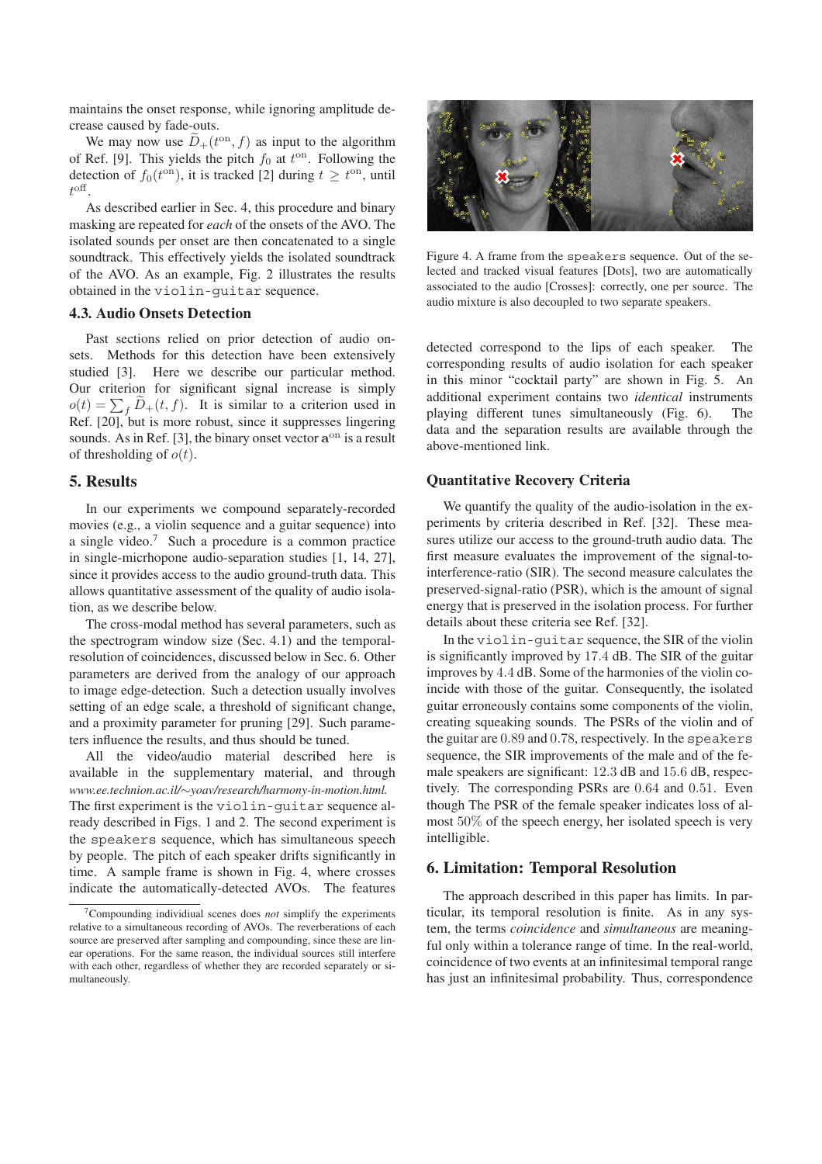maintains the onset response, while ignoring amplitude decrease caused by fade-outs.

We may now use  $\tilde{D}_+(t^{on}, f)$  as input to the algorithm<br>Ref. [9] This vields the pitch  $f_0$  at  $t^{on}$  Following the of Ref. [9]. This yields the pitch  $f_0$  at  $t^{on}$ . Following the detection of  $f_0(t^{\text{on}})$ , it is tracked [2] during  $t \geq t^{\text{on}}$ , until *t* off.

As described earlier in Sec. 4, this procedure and binary masking are repeated for *each* of the onsets of the AVO. The isolated sounds per onset are then concatenated to a single soundtrack. This effectively yields the isolated soundtrack of the AVO. As an example, Fig. 2 illustrates the results obtained in the violin-guitar sequence.

#### **4.3. Audio Onsets Detection**

Past sections relied on prior detection of audio onsets. Methods for this detection have been extensively studied [3]. Here we describe our particular method. Our criterion for significant signal increase is simply  $o(t) = \sum_{f} \widetilde{D}_{+}(t, f)$ . It is similar to a criterion used in Ref. [20] but is more robust since it suppresses lingering Ref. [20], but is more robust, since it suppresses lingering sounds. As in Ref. [3], the binary onset vector **a**on is a result of thresholding of *<sup>o</sup>*(*t*).

# **5. Results**

In our experiments we compound separately-recorded movies (e.g., a violin sequence and a guitar sequence) into a single video.<sup>7</sup> Such a procedure is a common practice in single-micrhopone audio-separation studies [1, 14, 27], since it provides access to the audio ground-truth data. This allows quantitative assessment of the quality of audio isolation, as we describe below.

The cross-modal method has several parameters, such as the spectrogram window size (Sec. 4.1) and the temporalresolution of coincidences, discussed below in Sec. 6. Other parameters are derived from the analogy of our approach to image edge-detection. Such a detection usually involves setting of an edge scale, a threshold of significant change, and a proximity parameter for pruning [29]. Such parameters influence the results, and thus should be tuned.

All the video/audio material described here is available in the supplementary material, and through *www.ee.technion.ac.il/*∼*yoav/research/harmony-in-motion.html.* The first experiment is the violin-guitar sequence already described in Figs. 1 and 2. The second experiment is the speakers sequence, which has simultaneous speech by people. The pitch of each speaker drifts significantly in time. A sample frame is shown in Fig. 4, where crosses indicate the automatically-detected AVOs. The features



Figure 4. A frame from the speakers sequence. Out of the selected and tracked visual features [Dots], two are automatically associated to the audio [Crosses]: correctly, one per source. The audio mixture is also decoupled to two separate speakers.

detected correspond to the lips of each speaker. The corresponding results of audio isolation for each speaker in this minor "cocktail party" are shown in Fig. 5. An additional experiment contains two *identical* instruments playing different tunes simultaneously (Fig. 6). The data and the separation results are available through the above-mentioned link.

#### **Quantitative Recovery Criteria**

We quantify the quality of the audio-isolation in the experiments by criteria described in Ref. [32]. These measures utilize our access to the ground-truth audio data. The first measure evaluates the improvement of the signal-tointerference-ratio (SIR). The second measure calculates the preserved-signal-ratio (PSR), which is the amount of signal energy that is preserved in the isolation process. For further details about these criteria see Ref. [32].

In the violin-guitar sequence, the SIR of the violin is significantly improved by 17*.*4 dB. The SIR of the guitar improves by 4*.*4 dB. Some of the harmonies of the violin coincide with those of the guitar. Consequently, the isolated guitar erroneously contains some components of the violin, creating squeaking sounds. The PSRs of the violin and of the guitar are 0*.*89 and 0*.*78, respectively. In the speakers sequence, the SIR improvements of the male and of the female speakers are significant: 12*.*3 dB and 15*.*6 dB, respectively. The corresponding PSRs are 0*.*64 and 0*.*51. Even though The PSR of the female speaker indicates loss of almost 50% of the speech energy, her isolated speech is very intelligible.

## **6. Limitation: Temporal Resolution**

The approach described in this paper has limits. In particular, its temporal resolution is finite. As in any system, the terms *coincidence* and *simultaneous* are meaningful only within a tolerance range of time. In the real-world, coincidence of two events at an infinitesimal temporal range has just an infinitesimal probability. Thus, correspondence

<sup>7</sup>Compounding individiual scenes does *not* simplify the experiments relative to a simultaneous recording of AVOs. The reverberations of each source are preserved after sampling and compounding, since these are linear operations. For the same reason, the individual sources still interfere with each other, regardless of whether they are recorded separately or simultaneously.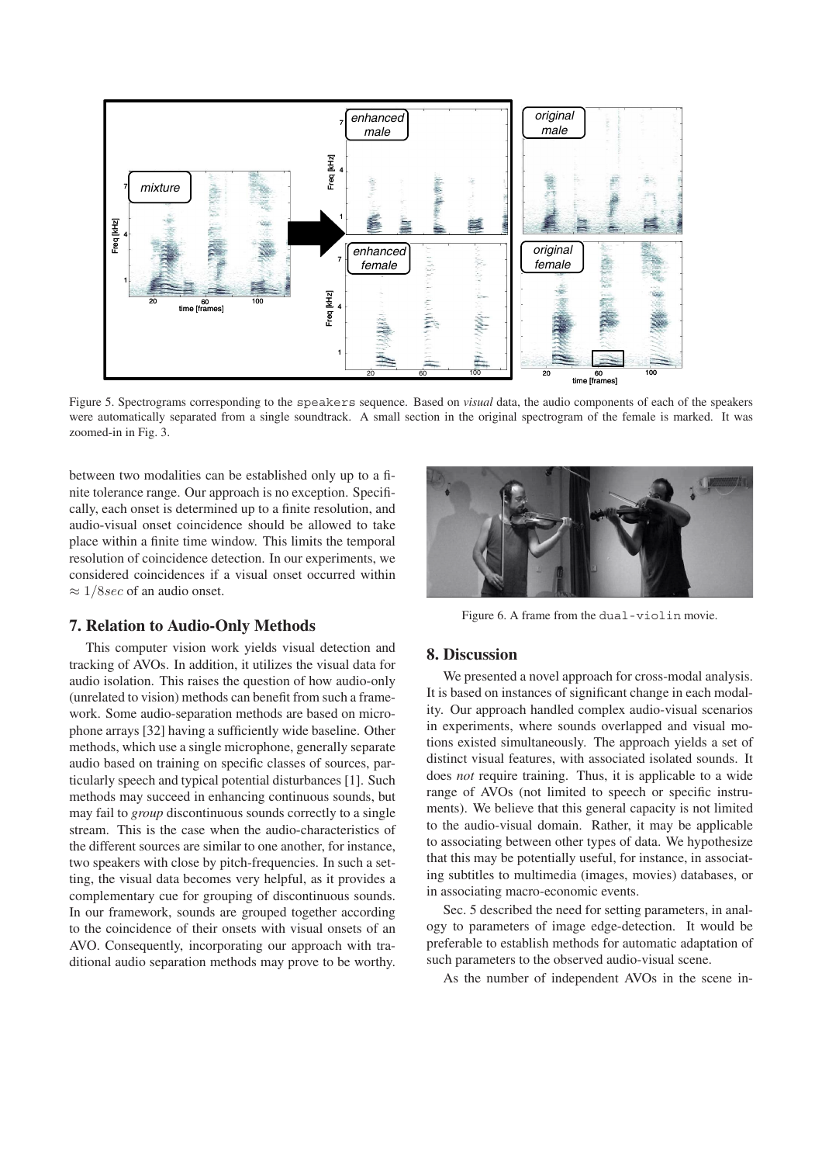

Figure 5. Spectrograms corresponding to the speakers sequence. Based on *visual* data, the audio components of each of the speakers were automatically separated from a single soundtrack. A small section in the original spectrogram of the female is marked. It was zoomed-in in Fig. 3.

between two modalities can be established only up to a finite tolerance range. Our approach is no exception. Specifically, each onset is determined up to a finite resolution, and audio-visual onset coincidence should be allowed to take place within a finite time window. This limits the temporal resolution of coincidence detection. In our experiments, we considered coincidences if a visual onset occurred within <sup>≈</sup> 1*/*8*sec* of an audio onset.

## **7. Relation to Audio-Only Methods**

This computer vision work yields visual detection and tracking of AVOs. In addition, it utilizes the visual data for audio isolation. This raises the question of how audio-only (unrelated to vision) methods can benefit from such a framework. Some audio-separation methods are based on microphone arrays [32] having a sufficiently wide baseline. Other methods, which use a single microphone, generally separate audio based on training on specific classes of sources, particularly speech and typical potential disturbances [1]. Such methods may succeed in enhancing continuous sounds, but may fail to *group* discontinuous sounds correctly to a single stream. This is the case when the audio-characteristics of the different sources are similar to one another, for instance, two speakers with close by pitch-frequencies. In such a setting, the visual data becomes very helpful, as it provides a complementary cue for grouping of discontinuous sounds. In our framework, sounds are grouped together according to the coincidence of their onsets with visual onsets of an AVO. Consequently, incorporating our approach with traditional audio separation methods may prove to be worthy.



Figure 6. A frame from the dual-violin movie.

## **8. Discussion**

We presented a novel approach for cross-modal analysis. It is based on instances of significant change in each modality. Our approach handled complex audio-visual scenarios in experiments, where sounds overlapped and visual motions existed simultaneously. The approach yields a set of distinct visual features, with associated isolated sounds. It does *not* require training. Thus, it is applicable to a wide range of AVOs (not limited to speech or specific instruments). We believe that this general capacity is not limited to the audio-visual domain. Rather, it may be applicable to associating between other types of data. We hypothesize that this may be potentially useful, for instance, in associating subtitles to multimedia (images, movies) databases, or in associating macro-economic events.

Sec. 5 described the need for setting parameters, in analogy to parameters of image edge-detection. It would be preferable to establish methods for automatic adaptation of such parameters to the observed audio-visual scene.

As the number of independent AVOs in the scene in-